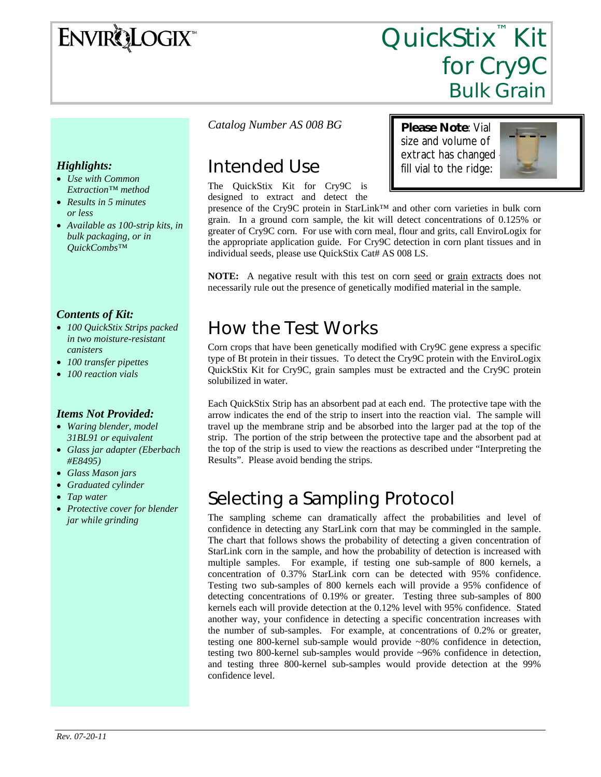# ENVIRQLOGIX

## QuickStix<sup>™</sup> Kit for Cry9C Bulk Grain

#### *Highlights:*

- *Use with Common Extraction™ method*
- *Results in 5 minutes or less*
- *Available as 100-strip kits, in bulk packaging, or in QuickCombs™*

#### *Contents of Kit:*

- *100 QuickStix Strips packed in two moisture-resistant canisters*
- *100 transfer pipettes*
- *100 reaction vials*

#### *Items Not Provided:*

- *Waring blender, model 31BL91 or equivalent*
- *Glass jar adapter (Eberbach #E8495)*
- *Glass Mason jars*
- *Graduated cylinder*
- *Tap water*
- *Protective cover for blender jar while grinding*

#### *Catalog Number AS 008 BG*

### Intended Use

The QuickStix Kit for Cry9C is designed to extract and detect the **Please Note**: Vial size and volume of extract has changed – fill vial to the ridge:



presence of the Cry9C protein in StarLink™ and other corn varieties in bulk corn grain. In a ground corn sample, the kit will detect concentrations of 0.125% or greater of Cry9C corn. For use with corn meal, flour and grits, call EnviroLogix for the appropriate application guide. For Cry9C detection in corn plant tissues and in individual seeds, please use QuickStix Cat# AS 008 LS.

**NOTE:** A negative result with this test on corn seed or grain extracts does not necessarily rule out the presence of genetically modified material in the sample.

### How the Test Works

Corn crops that have been genetically modified with Cry9C gene express a specific type of Bt protein in their tissues. To detect the Cry9C protein with the EnviroLogix QuickStix Kit for Cry9C, grain samples must be extracted and the Cry9C protein solubilized in water.

Each QuickStix Strip has an absorbent pad at each end. The protective tape with the arrow indicates the end of the strip to insert into the reaction vial. The sample will travel up the membrane strip and be absorbed into the larger pad at the top of the strip. The portion of the strip between the protective tape and the absorbent pad at the top of the strip is used to view the reactions as described under "Interpreting the Results". Please avoid bending the strips.

### Selecting a Sampling Protocol

The sampling scheme can dramatically affect the probabilities and level of confidence in detecting any StarLink corn that may be commingled in the sample. The chart that follows shows the probability of detecting a given concentration of StarLink corn in the sample, and how the probability of detection is increased with multiple samples. For example, if testing one sub-sample of 800 kernels, a concentration of 0.37% StarLink corn can be detected with 95% confidence. Testing two sub-samples of 800 kernels each will provide a 95% confidence of detecting concentrations of 0.19% or greater. Testing three sub-samples of 800 kernels each will provide detection at the 0.12% level with 95% confidence. Stated another way, your confidence in detecting a specific concentration increases with the number of sub-samples. For example, at concentrations of 0.2% or greater, testing one 800-kernel sub-sample would provide ~80% confidence in detection, testing two 800-kernel sub-samples would provide ~96% confidence in detection, and testing three 800-kernel sub-samples would provide detection at the 99% confidence level.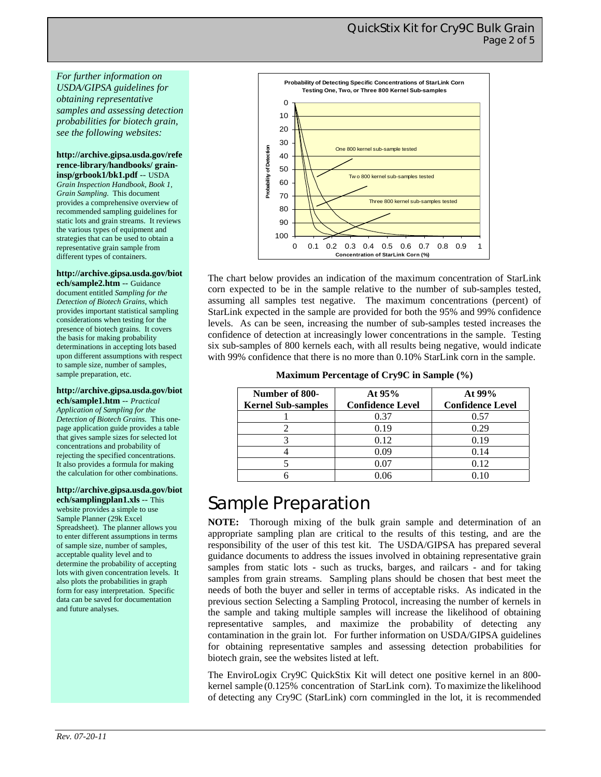*For further information on USDA/GIPSA guidelines for obtaining representative samples and assessing detection probabilities for biotech grain, see the following websites:* 

**http://archive.gipsa.usda.gov/refe rence-library/handbooks/ graininsp/grbook1/bk1.pdf** -- USDA *Grain Inspection Handbook, Book 1, Grain Sampling.* This document provides a comprehensive overview of recommended sampling guidelines for static lots and grain streams. It reviews the various types of equipment and strategies that can be used to obtain a representative grain sample from different types of containers.

#### **http://archive.gipsa.usda.gov/biot**

**ech/sample2.htm** -- Guidance document entitled *Sampling for the Detection of Biotech Grains*, which provides important statistical sampling considerations when testing for the presence of biotech grains. It covers the basis for making probability determinations in accepting lots based upon different assumptions with respect to sample size, number of samples, sample preparation, etc.

#### **http://archive.gipsa.usda.gov/biot**

**ech/sample1.htm** -- *Practical Application of Sampling for the Detection of Biotech Grains.* This onepage application guide provides a table that gives sample sizes for selected lot concentrations and probability of rejecting the specified concentrations. It also provides a formula for making the calculation for other combinations.

**http://archive.gipsa.usda.gov/biot ech/samplingplan1.xls** -- This website provides a simple to use Sample Planner (29k Excel Spreadsheet). The planner allows you to enter different assumptions in terms of sample size, number of samples, acceptable quality level and to determine the probability of accepting lots with given concentration levels. It also plots the probabilities in graph form for easy interpretation. Specific data can be saved for documentation and future analyses.



The chart below provides an indication of the maximum concentration of StarLink corn expected to be in the sample relative to the number of sub-samples tested, assuming all samples test negative. The maximum concentrations (percent) of StarLink expected in the sample are provided for both the 95% and 99% confidence levels. As can be seen, increasing the number of sub-samples tested increases the confidence of detection at increasingly lower concentrations in the sample. Testing six sub-samples of 800 kernels each, with all results being negative, would indicate with 99% confidence that there is no more than 0.10% StarLink corn in the sample.

**Maximum Percentage of Cry9C in Sample (%)** 

| Number of 800-            | At $95%$                | At $99%$                |
|---------------------------|-------------------------|-------------------------|
| <b>Kernel Sub-samples</b> | <b>Confidence Level</b> | <b>Confidence Level</b> |
|                           | 0.37                    | 0.57                    |
|                           | 0.19                    | 0.29                    |
|                           | 0.12                    | 0.19                    |
|                           | 0.09                    | 0.14                    |
|                           | 0.07                    | 0.12                    |
|                           |                         |                         |

### Sample Preparation

**NOTE:** Thorough mixing of the bulk grain sample and determination of an appropriate sampling plan are critical to the results of this testing, and are the responsibility of the user of this test kit. The USDA/GIPSA has prepared several guidance documents to address the issues involved in obtaining representative grain samples from static lots - such as trucks, barges, and railcars - and for taking samples from grain streams. Sampling plans should be chosen that best meet the needs of both the buyer and seller in terms of acceptable risks. As indicated in the previous section Selecting a Sampling Protocol, increasing the number of kernels in the sample and taking multiple samples will increase the likelihood of obtaining representative samples, and maximize the probability of detecting any contamination in the grain lot. For further information on USDA/GIPSA guidelines for obtaining representative samples and assessing detection probabilities for biotech grain, see the websites listed at left.

The EnviroLogix Cry9C QuickStix Kit will detect one positive kernel in an 800 kernel sample (0.125% concentration of StarLink corn). To maximize the likelihood of detecting any Cry9C (StarLink) corn commingled in the lot, it is recommended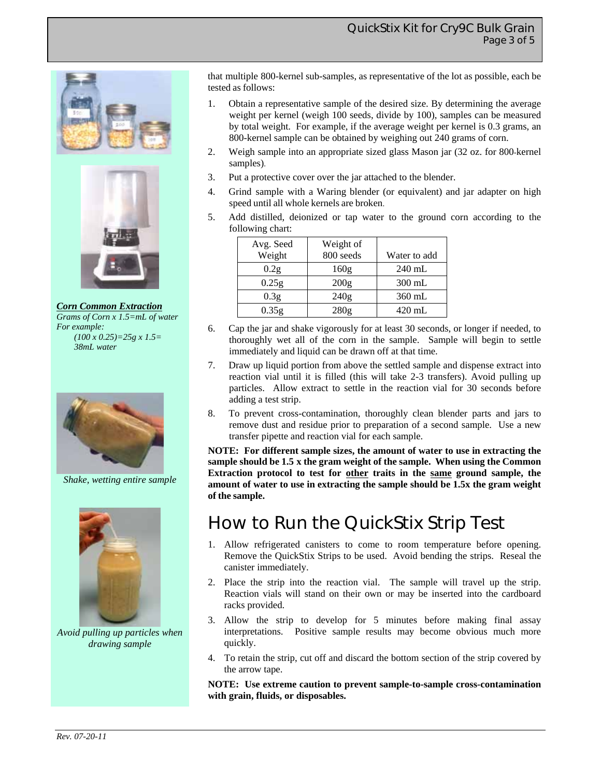



*Corn Common Extraction Grams of Corn x 1.5=mL of water For example: (100 x 0.25)=25g x 1.5= 38mL water* 



*Shake, wetting entire sample* 



*Avoid pulling up particles when drawing sample* 

that multiple 800-kernel sub-samples, as representative of the lot as possible, each be tested as follows:

- 1. Obtain a representative sample of the desired size. By determining the average weight per kernel (weigh 100 seeds, divide by 100), samples can be measured by total weight. For example, if the average weight per kernel is 0.3 grams, an 800-kernel sample can be obtained by weighing out 240 grams of corn.
- 2. Weigh sample into an appropriate sized glass Mason jar (32 oz. for 800-kernel samples).
- 3. Put a protective cover over the jar attached to the blender.
- 4. Grind sample with a Waring blender (or equivalent) and jar adapter on high speed until all whole kernels are broken.
- 5. Add distilled, deionized or tap water to the ground corn according to the following chart:

| Avg. Seed<br>Weight | Weight of<br>800 seeds | Water to add |
|---------------------|------------------------|--------------|
| 0.2g                | 160g                   | $240$ mL     |
| 0.25g               | 200g                   | $300$ mL     |
| 0.3 <sub>g</sub>    | 240g                   | $360$ mL     |
| 0.35g               | 280g                   | $420$ mL     |

- 6. Cap the jar and shake vigorously for at least 30 seconds, or longer if needed, to thoroughly wet all of the corn in the sample. Sample will begin to settle immediately and liquid can be drawn off at that time.
- 7. Draw up liquid portion from above the settled sample and dispense extract into reaction vial until it is filled (this will take 2-3 transfers). Avoid pulling up particles. Allow extract to settle in the reaction vial for 30 seconds before adding a test strip.
- 8. To prevent cross-contamination, thoroughly clean blender parts and jars to remove dust and residue prior to preparation of a second sample. Use a new transfer pipette and reaction vial for each sample.

**NOTE: For different sample sizes, the amount of water to use in extracting the sample should be 1.5 x the gram weight of the sample. When using the Common Extraction protocol to test for other traits in the same ground sample, the amount of water to use in extracting the sample should be 1.5x the gram weight of the sample.** 

### How to Run the QuickStix Strip Test

- 1. Allow refrigerated canisters to come to room temperature before opening. Remove the QuickStix Strips to be used. Avoid bending the strips. Reseal the canister immediately.
- 2. Place the strip into the reaction vial. The sample will travel up the strip. Reaction vials will stand on their own or may be inserted into the cardboard racks provided.
- 3. Allow the strip to develop for 5 minutes before making final assay interpretations. Positive sample results may become obvious much more quickly.
- 4. To retain the strip, cut off and discard the bottom section of the strip covered by the arrow tape.

**NOTE: Use extreme caution to prevent sample-to-sample cross-contamination with grain, fluids, or disposables.**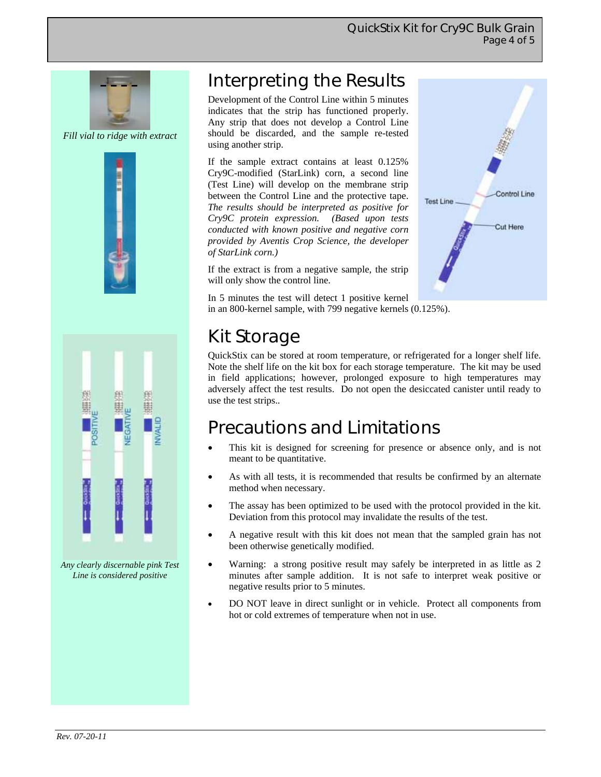**Test Line** 

Control Line

Cut Here



*Fill vial to ridge with extract* 





*Any clearly discernable pink Test Line is considered positive* 

### Interpreting the Results

Development of the Control Line within 5 minutes indicates that the strip has functioned properly. Any strip that does not develop a Control Line should be discarded, and the sample re-tested using another strip.

If the sample extract contains at least 0.125% Cry9C-modified (StarLink) corn, a second line (Test Line) will develop on the membrane strip between the Control Line and the protective tape. *The results should be interpreted as positive for Cry9C protein expression. (Based upon tests conducted with known positive and negative corn provided by Aventis Crop Science, the developer of StarLink corn.)*

If the extract is from a negative sample, the strip will only show the control line.

In 5 minutes the test will detect 1 positive kernel in an 800-kernel sample, with 799 negative kernels (0.125%).

### Kit Storage

QuickStix can be stored at room temperature, or refrigerated for a longer shelf life. Note the shelf life on the kit box for each storage temperature. The kit may be used in field applications; however, prolonged exposure to high temperatures may adversely affect the test results. Do not open the desiccated canister until ready to use the test strips..

### Precautions and Limitations

- This kit is designed for screening for presence or absence only, and is not meant to be quantitative.
- As with all tests, it is recommended that results be confirmed by an alternate method when necessary.
- The assay has been optimized to be used with the protocol provided in the kit. Deviation from this protocol may invalidate the results of the test.
- A negative result with this kit does not mean that the sampled grain has not been otherwise genetically modified.
- Warning: a strong positive result may safely be interpreted in as little as 2 minutes after sample addition. It is not safe to interpret weak positive or negative results prior to 5 minutes.
- DO NOT leave in direct sunlight or in vehicle. Protect all components from hot or cold extremes of temperature when not in use.